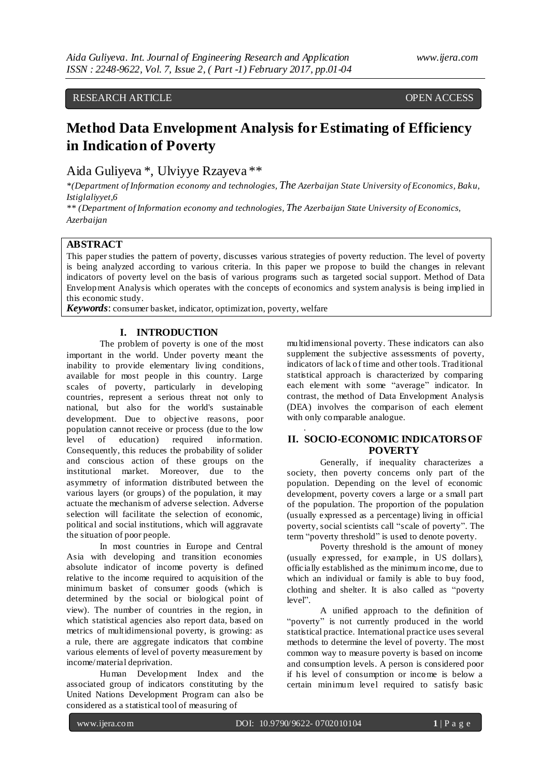## RESEARCH ARTICLE OPEN ACCESS

# **Method Data Envelopment Analysis for Estimating of Efficiency in Indication of Poverty**

# Aida Guliyeva \*, Ulviyye Rzayeva \*\*

*\*(Department of Information economy and technologies, The Azerbaijan State University of Economics, Baku, Istiglaliyyet,6*

*\*\* (Department of Information economy and technologies, The Azerbaijan State University of Economics, Azerbaijan*

## **ABSTRACT**

This paper studies the pattern of poverty, discusses various strategies of poverty reduction. The level of poverty is being analyzed according to various criteria. In this paper we propose to build the changes in relevant indicators of poverty level on the basis of various programs such as targeted social support. Method of Data Envelopment Analysis which operates with the concepts of economics and system analysis is being implied in this economic study.

.

*Keywords*: consumer basket, indicator, optimization, poverty, welfare

### **I. INTRODUCTION**

The problem of poverty is one of the most important in the world. Under poverty meant the inability to provide elementary living conditions, available for most people in this country. Large scales of poverty, particularly in developing countries, represent a serious threat not only to national, but also for the world's sustainable development. Due to objective reasons, poor population cannot receive or process (due to the low level of education) required information. Consequently, this reduces the probability of solider and conscious action of these groups on the institutional market. Moreover, due to the asymmetry of information distributed between the various layers (or groups) of the population, it may actuate the mechanism of adverse selection. Adverse selection will facilitate the selection of economic, political and social institutions, which will aggravate the situation of poor people.

In most countries in Europe and Central Asia with developing and transition economies absolute indicator of income poverty is defined relative to the income required to acquisition of the minimum basket of consumer goods (which is determined by the social or biological point of view). The number of countries in the region, in which statistical agencies also report data, based on metrics of multidimensional poverty, is growing: as a rule, there are aggregate indicators that combine various elements of level of poverty measurement by income/material deprivation.

Human Development Index and the associated group of indicators constituting by the United Nations Development Program can also be considered as a statistical tool of measuring of

multidimensional poverty. These indicators can also supplement the subjective assessments of poverty, indicators of lack of time and other tools. Traditional statistical approach is characterized by comparing each element with some "average" indicator. In contrast, the method of Data Envelopment Analysis (DEA) involves the comparison of each element with only comparable analogue.

#### **II. SOCIO-ECONOMIC INDICATORSOF POVERTY**

Generally, if inequality characterizes a society, then poverty concerns only part of the population. Depending on the level of economic development, poverty covers a large or a small part of the population. The proportion of the population (usually expressed as a percentage) living in official poverty, social scientists call "scale of poverty". The term "poverty threshold" is used to denote poverty.

Poverty threshold is the amount of money (usually expressed, for example, in US dollars), officially established as the minimum income, due to which an individual or family is able to buy food, clothing and shelter. It is also called as "poverty level".

A unified approach to the definition of "poverty" is not currently produced in the world statistical practice. International practice uses several methods to determine the level of poverty. The most common way to measure poverty is based on income and consumption levels. A person is considered poor if his level of consumption or income is below a certain minimum level required to satisfy basic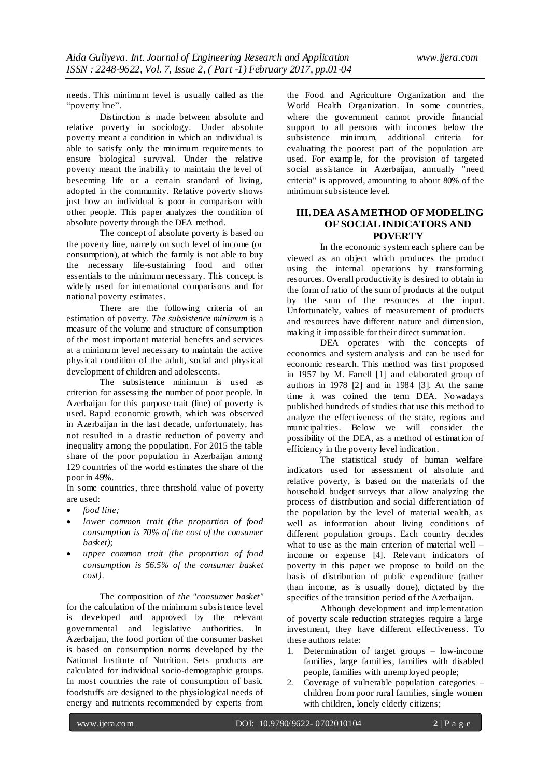needs. This minimum level is usually called as the "poverty line".

Distinction is made between absolute and relative poverty in sociology. Under absolute poverty meant a condition in which an individual is able to satisfy only the minimum requirements to ensure biological survival. Under the relative poverty meant the inability to maintain the level of beseeming life or a certain standard of living, adopted in the community. Relative poverty shows just how an individual is poor in comparison with other people. This paper analyzes the condition of absolute poverty through the DEA method.

The concept of absolute poverty is based on the poverty line, namely on such level of income (or consumption), at which the family is not able to buy the necessary life-sustaining food and other essentials to the minimum necessary. This concept is widely used for international comparisons and for national poverty estimates.

There are the following criteria of an estimation of poverty. *The subsistence minimum* is a measure of the volume and structure of consumption of the most important material benefits and services at a minimum level necessary to maintain the active physical condition of the adult, social and physical development of children and adolescents.

The subsistence minimum is used as criterion for assessing the number of poor people. In Azerbaijan for this purpose trait (line) of poverty is used. Rapid economic growth, which was observed in Azerbaijan in the last decade, unfortunately, has not resulted in a drastic reduction of poverty and inequality among the population. For 2015 the table share of the poor population in Azerbaijan among 129 countries of the world estimates the share of the poor in 49%.

In some countries, three threshold value of poverty are used:

- *food line;*
- *lower common trait (the proportion of food consumption is 70% of the cost of the consumer basket)*;
- *upper common trait (the proportion of food consumption is 56.5% of the consumer basket cost)*.

The composition of *the "consumer basket"* for the calculation of the minimum subsistence level is developed and approved by the relevant governmental and legislative authorities. In Azerbaijan, the food portion of the consumer basket is based on consumption norms developed by the National Institute of Nutrition. Sets products are calculated for individual socio-demographic groups. In most countries the rate of consumption of basic foodstuffs are designed to the physiological needs of energy and nutrients recommended by experts from

the Food and Agriculture Organization and the World Health Organization. In some countries, where the government cannot provide financial support to all persons with incomes below the subsistence minimum, additional criteria for evaluating the poorest part of the population are used. For example, for the provision of targeted social assistance in Azerbaijan, annually "need criteria" is approved, amounting to about 80% of the minimum subsistence level.

#### **III. DEA ASAMETHOD OFMODELING OF SOCIALINDICATORS AND POVERTY**

In the economic system each sphere can be viewed as an object which produces the product using the internal operations by transforming resources. Overall productivity is desired to obtain in the form of ratio of the sum of products at the output by the sum of the resources at the input. Unfortunately, values of measurement of products and resources have different nature and dimension, making it impossible for their direct summation.

DEA operates with the concepts of economics and system analysis and can be used for economic research. This method was first proposed in 1957 by M. Farrell [1] and elaborated group of authors in 1978 [2] and in 1984 [3]. At the same time it was coined the term DEA. Nowadays published hundreds of studies that use this method to analyze the effectiveness of the state, regions and municipalities. Below we will consider the possibility of the DEA, as a method of estimation of efficiency in the poverty level indication.

The statistical study of human welfare indicators used for assessment of absolute and relative poverty, is based on the materials of the household budget surveys that allow analyzing the process of distribution and social differentiation of the population by the level of material wealth, as well as information about living conditions of different population groups. Each country decides what to use as the main criterion of material well – income or expense [4]. Relevant indicators of poverty in this paper we propose to build on the basis of distribution of public expenditure (rather than income, as is usually done), dictated by the specifics of the transition period of the Azerbaijan.

Although development and implementation of poverty scale reduction strategies require a large investment, they have different effectiveness. To these authors relate:

- 1. Determination of target groups low-income families, large families, families with disabled people, families with unemployed people;
- 2. Coverage of vulnerable population categories children from poor rural families, single women with children, lonely elderly citizens;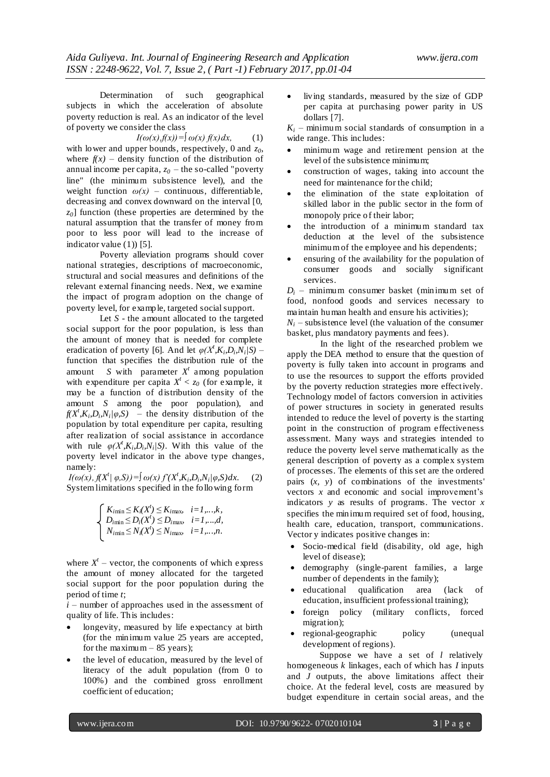Determination of such geographical subjects in which the acceleration of absolute poverty reduction is real. As an indicator of the level of poverty we consider the class

 $I(\omega(x), f(x)) = \int \omega(x) f(x) dx,$  (1)

with lower and upper bounds, respectively, 0 and *z0*, where  $f(x)$  – density function of the distribution of annual income per capita,  $z_0$  – the so-called "poverty" line" (the minimum subsistence level), and the weight function  $\omega(x)$  – continuous, differentiable, decreasing and convex downward on the interval [0, *z0*] function (these properties are determined by the natural assumption that the transfer of money from poor to less poor will lead to the increase of indicator value (1)) [5].

Poverty alleviation programs should cover national strategies, descriptions of macroeconomic, structural and social measures and definitions of the relevant external financing needs. Next, we examine the impact of program adoption on the change of poverty level, for example, targeted social support.

Let *S* - the amount allocated to the targeted social support for the poor population, is less than the amount of money that is needed for complete eradication of poverty [6]. And let  $\varphi(X^t, K_i, D_i, N_i/S)$  – function that specifies the distribution rule of the amount *S* with parameter  $X^t$  among population with expenditure per capita  $X^t < z_0$  (for example, it may be a function of distribution density of the amount *S* among the poor population), and  $f(X^t, K_i, D_i, N_i/\varphi, S)$  – the density distribution of the population by total expenditure per capita, resulting after realization of social assistance in accordance with rule  $\varphi(X^t, K_i, D_i, N_i/S)$ . With this value of the poverty level indicator in the above type changes, namely:

 $I(\omega(x), f(X^t | \varphi, S)) = \int \omega(x) f'(X^t, K_i, D_i, N_i | \varphi, S) dx.$  (2) System limitations specified in the following form

$$
\begin{cases}\nK_{i\min} \leq K_i(X^i) \leq K_{i\max} & i=1,...,k, \\
D_{i\min} \leq D_i(X^i) \leq D_{i\max} & i=1,...,d, \\
N_{i\min} \leq N_i(X^i) \leq N_{i\max} & i=1,...,n.\n\end{cases}
$$

where  $X<sup>t</sup>$  – vector, the components of which express the amount of money allocated for the targeted social support for the poor population during the period of time *t*;

 $\hat{i}$  – number of approaches used in the assessment of quality of life. This includes:

- longevity, measured by life expectancy at birth (for the minimum value 25 years are accepted, for the maximum – 85 years);
- the level of education, measured by the level of literacy of the adult population (from 0 to 100%) and the combined gross enrollment coefficient of education;

 living standards, measured by the size of GDP per capita at purchasing power parity in US dollars [7].

 $K_i$  – minimum social standards of consumption in a wide range. This includes:

- minimum wage and retirement pension at the level of the subsistence minimum;
- construction of wages, taking into account the need for maintenance for the child;
- the elimination of the state exploitation of skilled labor in the public sector in the form of monopoly price of their labor;
- the introduction of a minimum standard tax deduction at the level of the subsistence minimum of the employee and his dependents;
- ensuring of the availability for the population of consumer goods and socially significant services.

*D<sup>i</sup>* – minimum consumer basket (minimum set of food, nonfood goods and services necessary to maintain human health and ensure his activities);

 $N_i$  – subsistence level (the valuation of the consumer basket, plus mandatory payments and fees).

In the light of the researched problem we apply the DEA method to ensure that the question of poverty is fully taken into account in programs and to use the resources to support the efforts provided by the poverty reduction strategies more effectively. Technology model of factors conversion in activities of power structures in society in generated results intended to reduce the level of poverty is the starting point in the construction of program effectiveness assessment. Many ways and strategies intended to reduce the poverty level serve mathematically as the general description of poverty as a complex system of processes. The elements of this set are the ordered pairs (*x, y*) of combinations of the investments' vectors *x* and economic and social improvement's indicators *y* as results of programs. The vector *x*  specifies the minimum required set of food, housing, health care, education, transport, communications. Vector y indicates positive changes in:

- Socio-medical field (disability, old age, high level of disease);
- demography (single-parent families, a large number of dependents in the family);
- educational qualification area (lack of education, insufficient professional training);
- foreign policy (military conflicts, forced migration);
- regional-geographic policy (unequal development of regions).

Suppose we have a set of *l* relatively homogeneous *k* linkages, each of which has *I* inputs and *J* outputs, the above limitations affect their choice. At the federal level, costs are measured by budget expenditure in certain social areas, and the